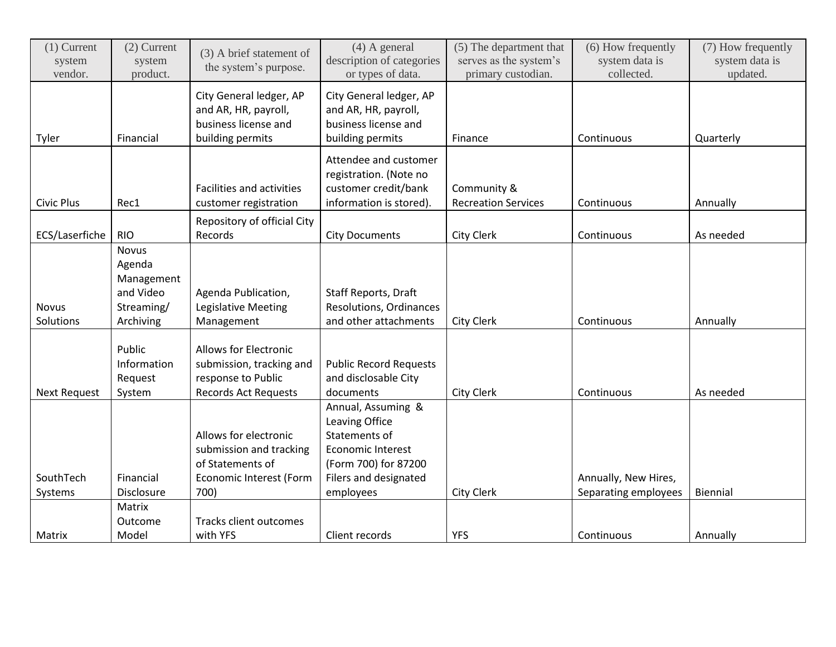| $(1)$ Current<br>system<br>vendor. | $(2)$ Current<br>system<br>product.                             | (3) A brief statement of<br>the system's purpose.                                                             | $(4)$ A general<br>description of categories<br>or types of data.                                         | (5) The department that<br>serves as the system's<br>primary custodian. | (6) How frequently<br>system data is<br>collected. | (7) How frequently<br>system data is<br>updated. |
|------------------------------------|-----------------------------------------------------------------|---------------------------------------------------------------------------------------------------------------|-----------------------------------------------------------------------------------------------------------|-------------------------------------------------------------------------|----------------------------------------------------|--------------------------------------------------|
| Tyler                              | Financial                                                       | City General ledger, AP<br>and AR, HR, payroll,<br>business license and<br>building permits                   | City General ledger, AP<br>and AR, HR, payroll,<br>business license and<br>building permits               | Finance                                                                 | Continuous                                         | Quarterly                                        |
| <b>Civic Plus</b>                  | Rec1                                                            | Facilities and activities<br>customer registration                                                            | Attendee and customer<br>registration. (Note no<br>customer credit/bank<br>information is stored).        | Community &<br><b>Recreation Services</b>                               | Continuous                                         | Annually                                         |
|                                    |                                                                 | Repository of official City                                                                                   |                                                                                                           |                                                                         |                                                    |                                                  |
| ECS/Laserfiche                     | <b>RIO</b>                                                      | Records                                                                                                       | <b>City Documents</b>                                                                                     | City Clerk                                                              | Continuous                                         | As needed                                        |
| <b>Novus</b>                       | <b>Novus</b><br>Agenda<br>Management<br>and Video<br>Streaming/ | Agenda Publication,<br>Legislative Meeting                                                                    | Staff Reports, Draft<br><b>Resolutions, Ordinances</b>                                                    |                                                                         |                                                    |                                                  |
| Solutions                          | Archiving                                                       | Management                                                                                                    | and other attachments                                                                                     | <b>City Clerk</b>                                                       | Continuous                                         | Annually                                         |
| <b>Next Request</b>                | Public<br>Information<br>Request<br>System                      | <b>Allows for Electronic</b><br>submission, tracking and<br>response to Public<br><b>Records Act Requests</b> | <b>Public Record Requests</b><br>and disclosable City<br>documents                                        | <b>City Clerk</b>                                                       | Continuous                                         | As needed                                        |
|                                    |                                                                 | Allows for electronic<br>submission and tracking<br>of Statements of                                          | Annual, Assuming &<br>Leaving Office<br>Statements of<br><b>Economic Interest</b><br>(Form 700) for 87200 |                                                                         |                                                    |                                                  |
| SouthTech                          | Financial                                                       | Economic Interest (Form                                                                                       | <b>Filers and designated</b>                                                                              |                                                                         | Annually, New Hires,                               |                                                  |
| Systems                            | Disclosure                                                      | 700)                                                                                                          | employees                                                                                                 | <b>City Clerk</b>                                                       | Separating employees                               | Biennial                                         |
|                                    | Matrix                                                          |                                                                                                               |                                                                                                           |                                                                         |                                                    |                                                  |
| Matrix                             | Outcome<br>Model                                                | <b>Tracks client outcomes</b><br>with YFS                                                                     | Client records                                                                                            | <b>YFS</b>                                                              | Continuous                                         | Annually                                         |